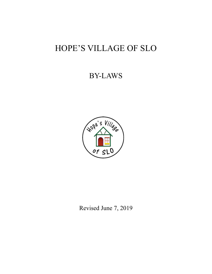# HOPE'S VILLAGE OF SLO

# BY-LAWS



Revised June 7, 2019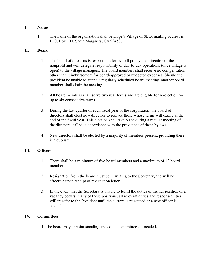# I. **Name**

1. The name of the organization shall be Hope's Village of SLO; mailing address is P. O. Box 100, Santa Margarita, CA 93453.

# II. **Board**

- 1. The board of directors is responsible for overall policy and direction of the nonprofit and will delegate responsibility of day-to-day operations (once village is open) to the village managers. The board members shall receive no compensation other than reimbursement for board-approved or budgeted expenses. Should the president be unable to attend a regularly scheduled board meeting, another board member shall chair the meeting.
- 2. All board members shall serve two year terms and are eligible for re-election for up to six consecutive terms.
- 3. During the last quarter of each fiscal year of the corporation, the board of directors shall elect new directors to replace those whose terms will expire at the end of the fiscal year. This election shall take place during a regular meeting of the directors, called in accordance with the provisions of these bylaws.
- 4. New directors shall be elected by a majority of members present, providing there is a quorum.

#### III. **Officers**

- 1. There shall be a minimum of five board members and a maximum of 12 board members.
- 2. Resignation from the board must be in writing to the Secretary, and will be effective upon receipt of resignation letter.
- 3. In the event that the Secretary is unable to fulfill the duties of his/her position or a vacancy occurs in any of these positions, all relevant duties and responsibilities will transfer to the President until the current is reinstated or a new officer is elected.

#### **IV. Committees**

1. The board may appoint standing and ad hoc committees as needed.